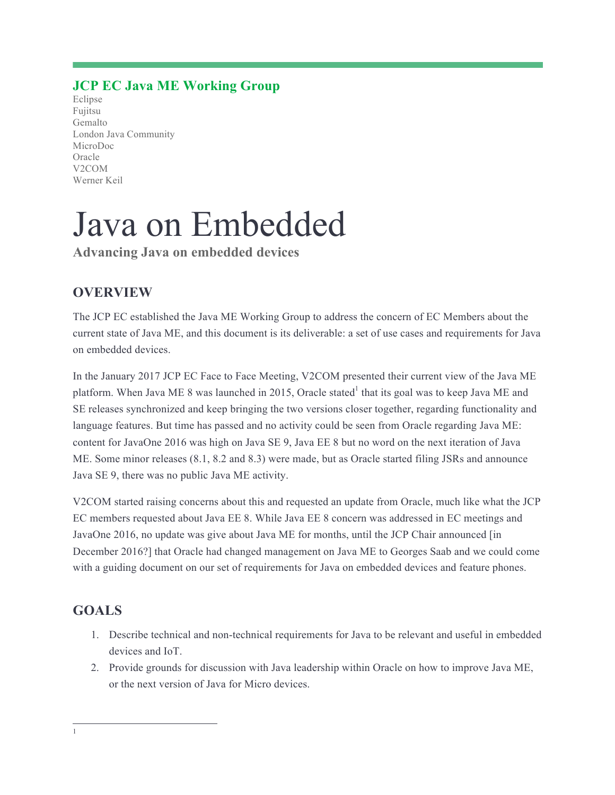## **JCP EC Java ME Working Group**

Eclipse Fujitsu Gemalto London Java Community MicroDoc Oracle V2COM Werner Keil

# Java on Embedded

**Advancing Java on embedded devices**

## **OVERVIEW**

The JCP EC established the Java ME Working Group to address the concern of EC Members about the current state of Java ME, and this document is its deliverable: a set of use cases and requirements for Java on embedded devices.

In the January 2017 JCP EC Face to Face Meeting, V2COM presented their current view of the Java ME platform. When Java ME 8 was launched in 2015, Oracle stated<sup>1</sup> that its goal was to keep Java ME and SE releases synchronized and keep bringing the two versions closer together, regarding functionality and language features. But time has passed and no activity could be seen from Oracle regarding Java ME: content for JavaOne 2016 was high on Java SE 9, Java EE 8 but no word on the next iteration of Java ME. Some minor releases (8.1, 8.2 and 8.3) were made, but as Oracle started filing JSRs and announce Java SE 9, there was no public Java ME activity.

V2COM started raising concerns about this and requested an update from Oracle, much like what the JCP EC members requested about Java EE 8. While Java EE 8 concern was addressed in EC meetings and JavaOne 2016, no update was give about Java ME for months, until the JCP Chair announced [in December 2016?] that Oracle had changed management on Java ME to Georges Saab and we could come with a guiding document on our set of requirements for Java on embedded devices and feature phones.

# **GOALS**

- 1. Describe technical and non-technical requirements for Java to be relevant and useful in embedded devices and IoT.
- 2. Provide grounds for discussion with Java leadership within Oracle on how to improve Java ME, or the next version of Java for Micro devices.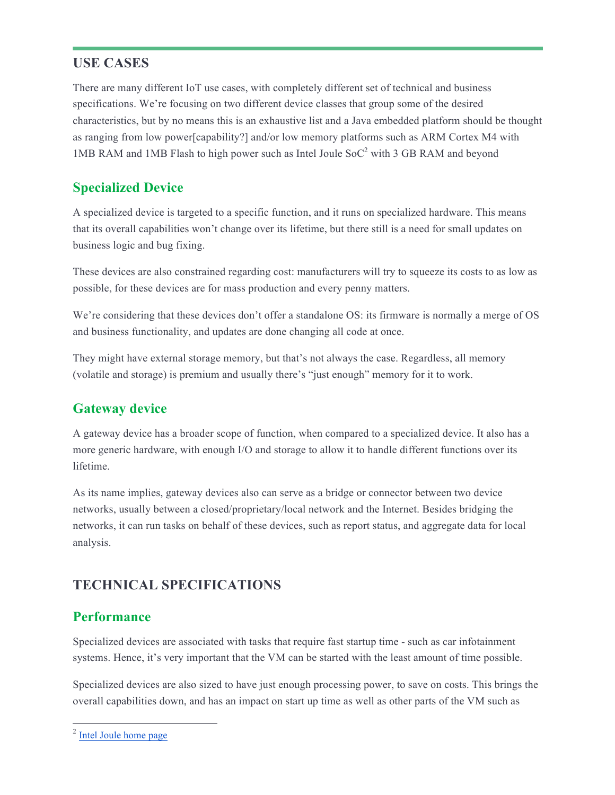## **USE CASES**

There are many different IoT use cases, with completely different set of technical and business specifications. We're focusing on two different device classes that group some of the desired characteristics, but by no means this is an exhaustive list and a Java embedded platform should be thought as ranging from low power[capability?] and/or low memory platforms such as ARM Cortex M4 with 1MB RAM and 1MB Flash to high power such as Intel Joule  $SoC^2$  with 3 GB RAM and beyond

## **Specialized Device**

A specialized device is targeted to a specific function, and it runs on specialized hardware. This means that its overall capabilities won't change over its lifetime, but there still is a need for small updates on business logic and bug fixing.

These devices are also constrained regarding cost: manufacturers will try to squeeze its costs to as low as possible, for these devices are for mass production and every penny matters.

We're considering that these devices don't offer a standalone OS: its firmware is normally a merge of OS and business functionality, and updates are done changing all code at once.

They might have external storage memory, but that's not always the case. Regardless, all memory (volatile and storage) is premium and usually there's "just enough" memory for it to work.

## **Gateway device**

A gateway device has a broader scope of function, when compared to a specialized device. It also has a more generic hardware, with enough I/O and storage to allow it to handle different functions over its lifetime.

As its name implies, gateway devices also can serve as a bridge or connector between two device networks, usually between a closed/proprietary/local network and the Internet. Besides bridging the networks, it can run tasks on behalf of these devices, such as report status, and aggregate data for local analysis.

# **TECHNICAL SPECIFICATIONS**

## **Performance**

Specialized devices are associated with tasks that require fast startup time - such as car infotainment systems. Hence, it's very important that the VM can be started with the least amount of time possible.

Specialized devices are also sized to have just enough processing power, to save on costs. This brings the overall capabilities down, and has an impact on start up time as well as other parts of the VM such as

 <sup>2</sup> Intel Joule home page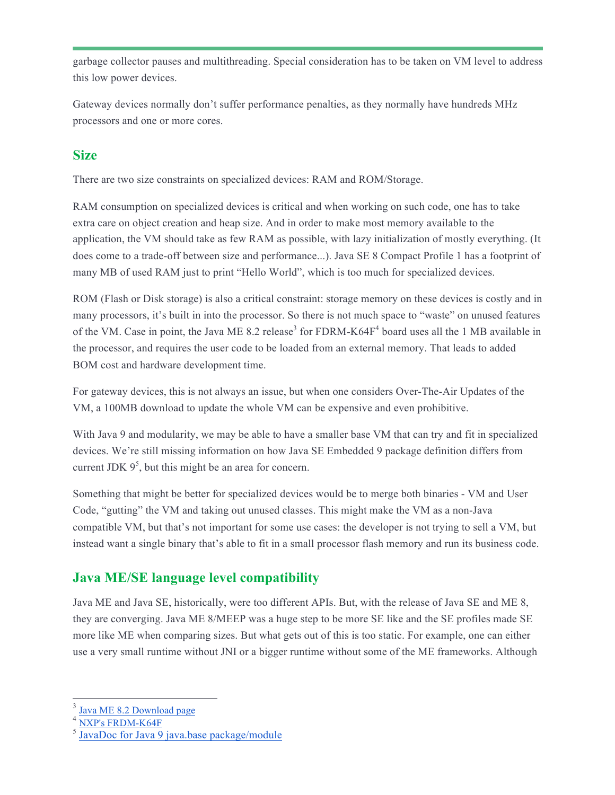garbage collector pauses and multithreading. Special consideration has to be taken on VM level to address this low power devices.

Gateway devices normally don't suffer performance penalties, as they normally have hundreds MHz processors and one or more cores.

## **Size**

There are two size constraints on specialized devices: RAM and ROM/Storage.

RAM consumption on specialized devices is critical and when working on such code, one has to take extra care on object creation and heap size. And in order to make most memory available to the application, the VM should take as few RAM as possible, with lazy initialization of mostly everything. (It does come to a trade-off between size and performance...). Java SE 8 Compact Profile 1 has a footprint of many MB of used RAM just to print "Hello World", which is too much for specialized devices.

ROM (Flash or Disk storage) is also a critical constraint: storage memory on these devices is costly and in many processors, it's built in into the processor. So there is not much space to "waste" on unused features of the VM. Case in point, the Java ME 8.2 release<sup>3</sup> for FDRM-K64F<sup>4</sup> board uses all the 1 MB available in the processor, and requires the user code to be loaded from an external memory. That leads to added BOM cost and hardware development time.

For gateway devices, this is not always an issue, but when one considers Over-The-Air Updates of the VM, a 100MB download to update the whole VM can be expensive and even prohibitive.

With Java 9 and modularity, we may be able to have a smaller base VM that can try and fit in specialized devices. We're still missing information on how Java SE Embedded 9 package definition differs from current JDK  $9<sup>5</sup>$ , but this might be an area for concern.

Something that might be better for specialized devices would be to merge both binaries - VM and User Code, "gutting" the VM and taking out unused classes. This might make the VM as a non-Java compatible VM, but that's not important for some use cases: the developer is not trying to sell a VM, but instead want a single binary that's able to fit in a small processor flash memory and run its business code.

# **Java ME/SE language level compatibility**

Java ME and Java SE, historically, were too different APIs. But, with the release of Java SE and ME 8, they are converging. Java ME 8/MEEP was a huge step to be more SE like and the SE profiles made SE more like ME when comparing sizes. But what gets out of this is too static. For example, one can either use a very small runtime without JNI or a bigger runtime without some of the ME frameworks. Although

Java ME 8.2 Download page

<sup>4</sup> NXP's FRDM-K64F

 $\frac{5}{9}$ JavaDoc for Java $\frac{9}{9}$  java.base package/module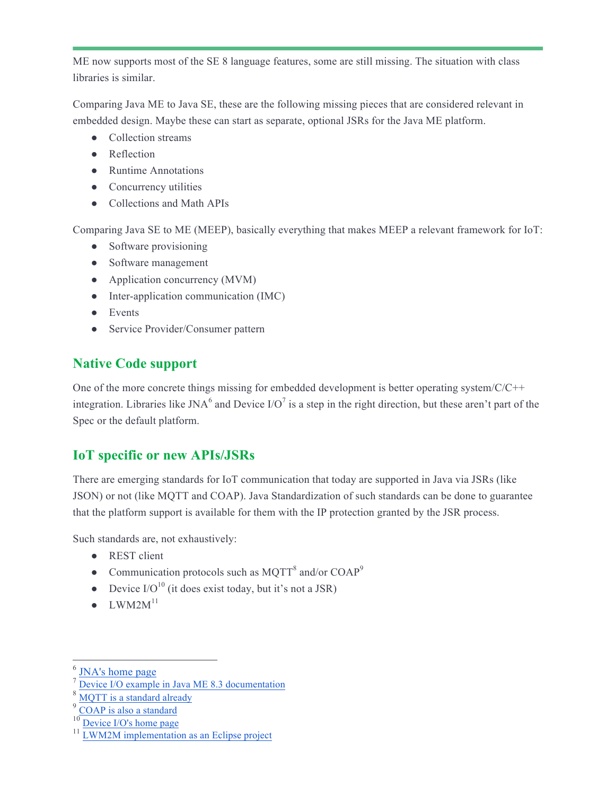ME now supports most of the SE 8 language features, some are still missing. The situation with class libraries is similar.

Comparing Java ME to Java SE, these are the following missing pieces that are considered relevant in embedded design. Maybe these can start as separate, optional JSRs for the Java ME platform.

- Collection streams
- Reflection
- Runtime Annotations
- Concurrency utilities
- Collections and Math APIs

Comparing Java SE to ME (MEEP), basically everything that makes MEEP a relevant framework for IoT:

- Software provisioning
- Software management
- Application concurrency (MVM)
- Inter-application communication (IMC)
- Events
- Service Provider/Consumer pattern

# **Native Code support**

One of the more concrete things missing for embedded development is better operating system/C/C++ integration. Libraries like JNA<sup>6</sup> and Device I/O<sup>7</sup> is a step in the right direction, but these aren't part of the Spec or the default platform.

# **IoT specific or new APIs/JSRs**

There are emerging standards for IoT communication that today are supported in Java via JSRs (like JSON) or not (like MQTT and COAP). Java Standardization of such standards can be done to guarantee that the platform support is available for them with the IP protection granted by the JSR process.

Such standards are, not exhaustively:

- REST client
- Communication protocols such as MQTT<sup>8</sup> and/or  $COAP<sup>9</sup>$
- Device  $I/O^{10}$  (it does exist today, but it's not a JSR)
- $\bullet$  LWM2M<sup>11</sup>

<sup>&</sup>lt;sup>6</sup> JNA's home page

Device I/O example in Java ME 8.3 documentation

MQTT is a standard already

COAP is also a standard

Device I/O's home page

 $11$  LWM2M implementation as an Eclipse project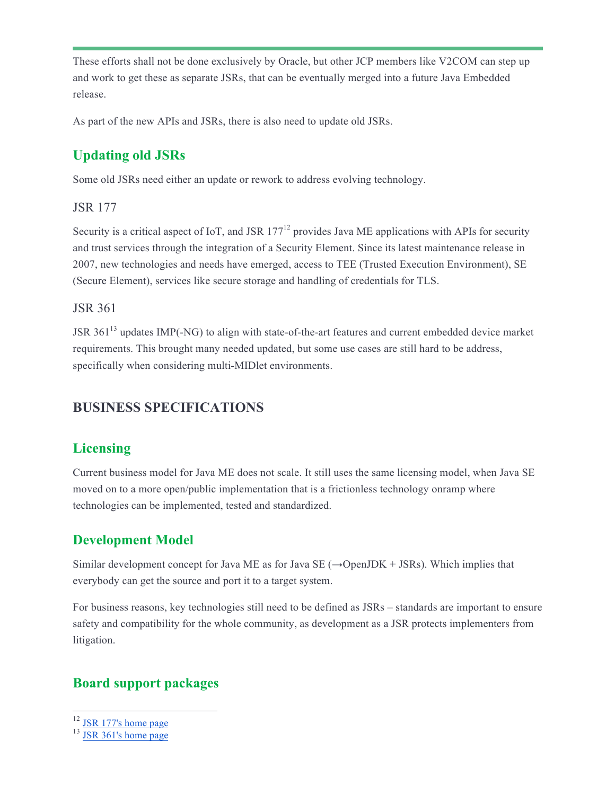These efforts shall not be done exclusively by Oracle, but other JCP members like V2COM can step up and work to get these as separate JSRs, that can be eventually merged into a future Java Embedded release.

As part of the new APIs and JSRs, there is also need to update old JSRs.

## **Updating old JSRs**

Some old JSRs need either an update or rework to address evolving technology.

#### JSR 177

Security is a critical aspect of IoT, and JSR  $177<sup>12</sup>$  provides Java ME applications with APIs for security and trust services through the integration of a Security Element. Since its latest maintenance release in 2007, new technologies and needs have emerged, access to TEE (Trusted Execution Environment), SE (Secure Element), services like secure storage and handling of credentials for TLS.

#### JSR 361

JSR 361<sup>13</sup> updates IMP(-NG) to align with state-of-the-art features and current embedded device market requirements. This brought many needed updated, but some use cases are still hard to be address, specifically when considering multi-MIDlet environments.

# **BUSINESS SPECIFICATIONS**

# **Licensing**

Current business model for Java ME does not scale. It still uses the same licensing model, when Java SE moved on to a more open/public implementation that is a frictionless technology onramp where technologies can be implemented, tested and standardized.

## **Development Model**

Similar development concept for Java ME as for Java SE  $(\rightarrow$ OpenJDK + JSRs). Which implies that everybody can get the source and port it to a target system.

For business reasons, key technologies still need to be defined as JSRs – standards are important to ensure safety and compatibility for the whole community, as development as a JSR protects implementers from litigation.

## **Board support packages**

<sup>&</sup>lt;sup>12</sup> JSR 177's home page

<sup>&</sup>lt;sup>13</sup> JSR 361's home page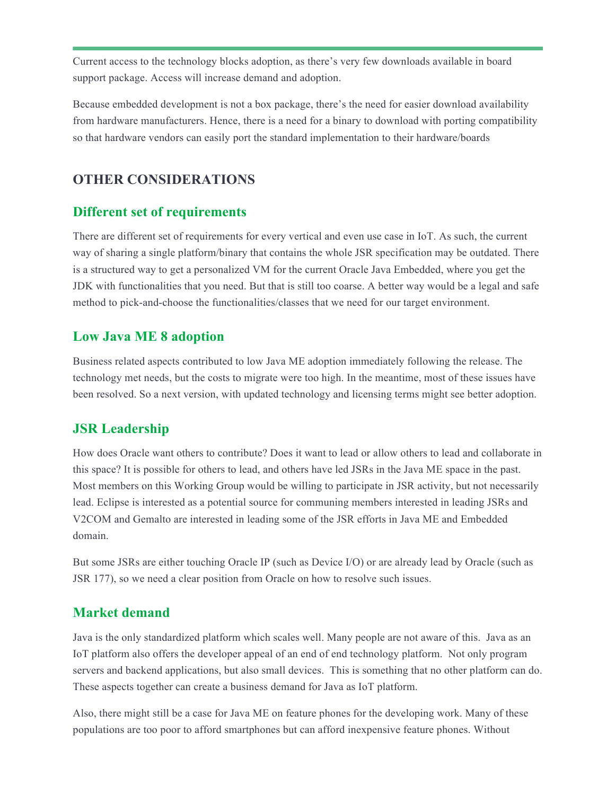Current access to the technology blocks adoption, as there's very few downloads available in board support package. Access will increase demand and adoption.

Because embedded development is not a box package, there's the need for easier download availability from hardware manufacturers. Hence, there is a need for a binary to download with porting compatibility so that hardware vendors can easily port the standard implementation to their hardware/boards

## **OTHER CONSIDERATIONS**

## **Different set of requirements**

There are different set of requirements for every vertical and even use case in IoT. As such, the current way of sharing a single platform/binary that contains the whole JSR specification may be outdated. There is a structured way to get a personalized VM for the current Oracle Java Embedded, where you get the JDK with functionalities that you need. But that is still too coarse. A better way would be a legal and safe method to pick-and-choose the functionalities/classes that we need for our target environment.

## **Low Java ME 8 adoption**

Business related aspects contributed to low Java ME adoption immediately following the release. The technology met needs, but the costs to migrate were too high. In the meantime, most of these issues have been resolved. So a next version, with updated technology and licensing terms might see better adoption.

## **JSR Leadership**

How does Oracle want others to contribute? Does it want to lead or allow others to lead and collaborate in this space? It is possible for others to lead, and others have led JSRs in the Java ME space in the past. Most members on this Working Group would be willing to participate in JSR activity, but not necessarily lead. Eclipse is interested as a potential source for communing members interested in leading JSRs and V2COM and Gemalto are interested in leading some of the JSR efforts in Java ME and Embedded domain.

But some JSRs are either touching Oracle IP (such as Device I/O) or are already lead by Oracle (such as JSR 177), so we need a clear position from Oracle on how to resolve such issues.

## **Market demand**

Java is the only standardized platform which scales well. Many people are not aware of this. Java as an IoT platform also offers the developer appeal of an end of end technology platform. Not only program servers and backend applications, but also small devices. This is something that no other platform can do. These aspects together can create a business demand for Java as IoT platform.

Also, there might still be a case for Java ME on feature phones for the developing work. Many of these populations are too poor to afford smartphones but can afford inexpensive feature phones. Without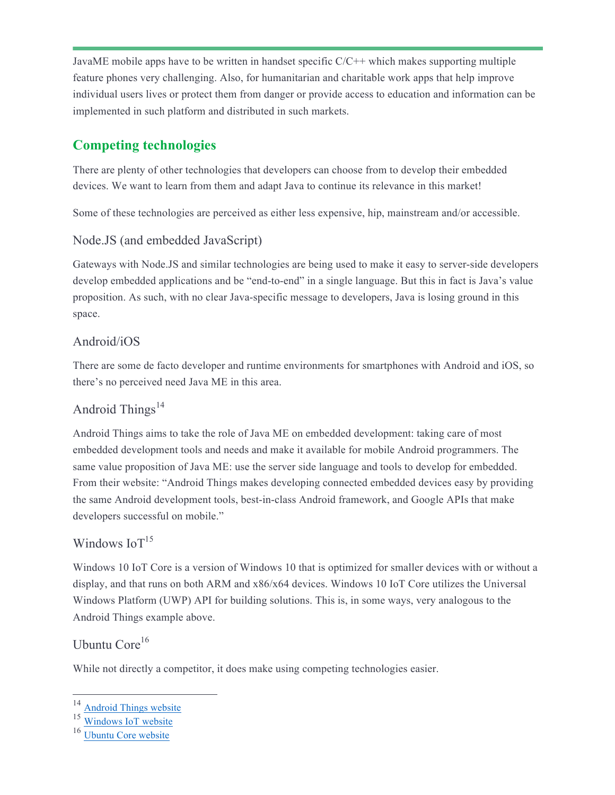JavaME mobile apps have to be written in handset specific C/C++ which makes supporting multiple feature phones very challenging. Also, for humanitarian and charitable work apps that help improve individual users lives or protect them from danger or provide access to education and information can be implemented in such platform and distributed in such markets.

# **Competing technologies**

There are plenty of other technologies that developers can choose from to develop their embedded devices. We want to learn from them and adapt Java to continue its relevance in this market!

Some of these technologies are perceived as either less expensive, hip, mainstream and/or accessible.

## Node.JS (and embedded JavaScript)

Gateways with Node.JS and similar technologies are being used to make it easy to server-side developers develop embedded applications and be "end-to-end" in a single language. But this in fact is Java's value proposition. As such, with no clear Java-specific message to developers, Java is losing ground in this space.

## Android/iOS

There are some de facto developer and runtime environments for smartphones with Android and iOS, so there's no perceived need Java ME in this area.

## Android Things<sup>14</sup>

Android Things aims to take the role of Java ME on embedded development: taking care of most embedded development tools and needs and make it available for mobile Android programmers. The same value proposition of Java ME: use the server side language and tools to develop for embedded. From their website: "Android Things makes developing connected embedded devices easy by providing the same Android development tools, best-in-class Android framework, and Google APIs that make developers successful on mobile."

## Windows  $IoT<sup>15</sup>$

Windows 10 IoT Core is a version of Windows 10 that is optimized for smaller devices with or without a display, and that runs on both ARM and x86/x64 devices. Windows 10 IoT Core utilizes the Universal Windows Platform (UWP) API for building solutions. This is, in some ways, very analogous to the Android Things example above.

## Ubuntu Core<sup>16</sup>

While not directly a competitor, it does make using competing technologies easier.

 $\frac{14}{15}$  Android Things website

Windows IoT website

<sup>&</sup>lt;sup>16</sup> Ubuntu Core website